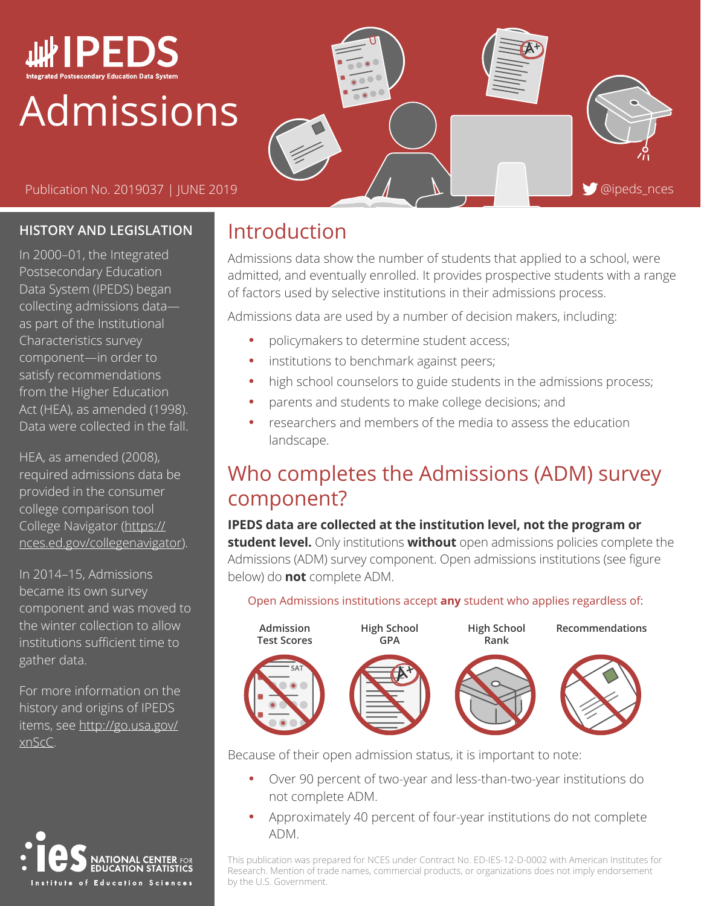

# Admissions

Publication No. 2019037 | JUNE 2019  $\overline{A}$   $\overline{B}$   $\overline{C}$  and  $\overline{D}$  and  $\overline{D}$  and  $\overline{D}$  and  $\overline{D}$  and  $\overline{D}$  and  $\overline{D}$  and  $\overline{D}$  and  $\overline{D}$  and  $\overline{D}$  and  $\overline{D}$  and  $\overline{D}$  and  $\overline{D}$  an

#### **HISTORY AND LEGISLATION**

In 2000–01, the Integrated Postsecondary Education Data System (IPEDS) began collecting admissions data as part of the Institutional Characteristics survey component—in order to satisfy recommendations from the Higher Education Act (HEA), as amended (1998). Data were collected in the fall.

HEA, as amended (2008), required admissions data be provided in the consumer college comparison tool College Navigator ([https://](https://nces.ed.gov/collegenavigator) [nces.ed.gov/collegenavigator\)](https://nces.ed.gov/collegenavigator).

In 2014–15, Admissions became its own survey component and was moved to the winter collection to allow institutions sufficient time to gather data.

For more information on the history and origins of IPEDS items, see [http://go.usa.gov/](http://go.usa.gov/xnScC) [xnScC.](http://go.usa.gov/xnScC)



### Introduction

Admissions data show the number of students that applied to a school, were admitted, and eventually enrolled. It provides prospective students with a range of factors used by selective institutions in their admissions process.

Admissions data are used by a number of decision makers, including:

- policymakers to determine student access;
- institutions to benchmark against peers;
- high school counselors to guide students in the admissions process;
- parents and students to make college decisions; and
- researchers and members of the media to assess the education landscape.

## Who completes the Admissions (ADM) survey component?

**IPEDS data are collected at the institution level, not the program or student level.** Only institutions **without** open admissions policies complete the Admissions (ADM) survey component. Open admissions institutions (see figure below) do **not** complete ADM.

#### Open Admissions institutions accept **any** student who applies regardless of:



Because of their open admission status, it is important to note:

- Over 90 percent of two-year and less-than-two-year institutions do not complete ADM.
- Approximately 40 percent of four-year institutions do not complete ADM.

This publication was prepared for NCES under Contract No. ED-IES-12-D-0002 with American Institutes for Research. Mention of trade names, commercial products, or organizations does not imply endorsement by the U.S. Government.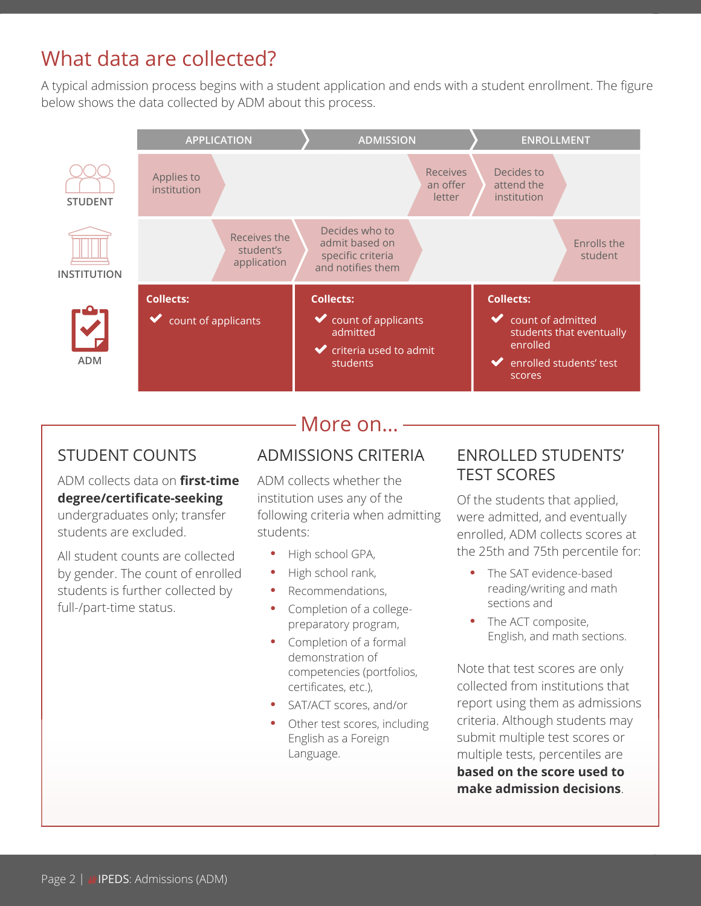## What data are collected?

A typical admission process begins with a student application and ends with a student enrollment. The figure below shows the data collected by ADM about this process.



#### STUDENT COUNTS

#### ADM collects data on **first-time degree/certificate-seeking**

undergraduates only; transfer students are excluded.

All student counts are collected by gender. The count of enrolled students is further collected by full-/part-time status.

### More on...

#### ADMISSIONS CRITERIA

ADM collects whether the institution uses any of the following criteria when admitting students:

- High school GPA,
- High school rank,
- Recommendations,
- Completion of a collegepreparatory program,
- Completion of a formal demonstration of competencies (portfolios, certificates, etc.),
- SAT/ACT scores, and/or
- Other test scores, including English as a Foreign Language.

#### ENROLLED STUDENTS' TEST SCORES

Of the students that applied, were admitted, and eventually enrolled, ADM collects scores at the 25th and 75th percentile for:

- The SAT evidence-based reading/writing and math sections and
- The ACT composite, English, and math sections.

Note that test scores are only collected from institutions that report using them as admissions criteria. Although students may submit multiple test scores or multiple tests, percentiles are **based on the score used to make admission decisions**.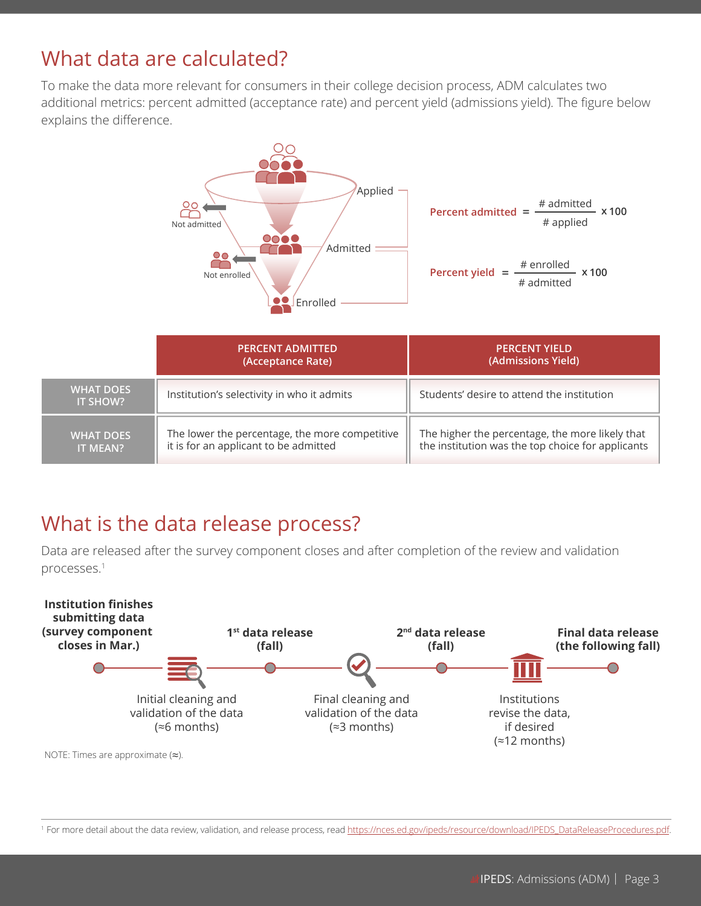## What data are calculated?

To make the data more relevant for consumers in their college decision process, ADM calculates two additional metrics: percent admitted (acceptance rate) and percent yield (admissions yield). The figure below explains the difference.



|                                     | <b>PERCENT ADMITTED</b><br>(Acceptance Rate)                                            | <b>PERCENT YIELD</b><br>(Admissions Yield)                                                           |
|-------------------------------------|-----------------------------------------------------------------------------------------|------------------------------------------------------------------------------------------------------|
| <b>WHAT DOES</b><br><b>IT SHOW?</b> | Institution's selectivity in who it admits                                              | Students' desire to attend the institution                                                           |
| <b>WHAT DOES</b><br><b>IT MEAN?</b> | The lower the percentage, the more competitive<br>it is for an applicant to be admitted | The higher the percentage, the more likely that<br>the institution was the top choice for applicants |

### What is the data release process?

Data are released after the survey component closes and after completion of the review and validation processes.1



NOTE: Times are approximate (≈).

1 For more detail about the data review, validation, and release process, read [https://nces.ed.gov/ipeds/resource/download/IPEDS\\_DataReleaseProcedures.pdf.](https://nces.ed.gov/ipeds/resource/download/IPEDS_DataReleaseProcedures.pdf)